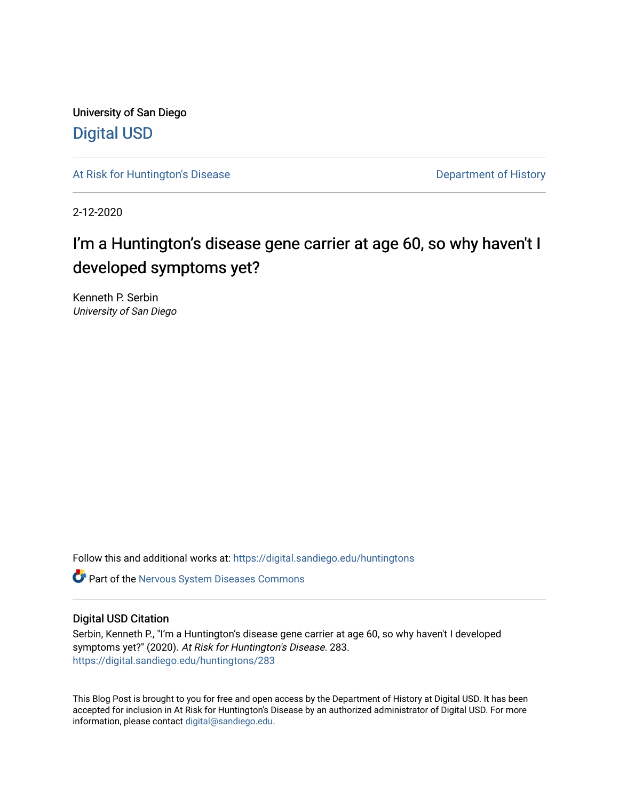University of San Diego [Digital USD](https://digital.sandiego.edu/)

[At Risk for Huntington's Disease](https://digital.sandiego.edu/huntingtons) **Department of History** Department of History

2-12-2020

# I'm a Huntington's disease gene carrier at age 60, so why haven't I developed symptoms yet?

Kenneth P. Serbin University of San Diego

Follow this and additional works at: [https://digital.sandiego.edu/huntingtons](https://digital.sandiego.edu/huntingtons?utm_source=digital.sandiego.edu%2Fhuntingtons%2F283&utm_medium=PDF&utm_campaign=PDFCoverPages)

**C** Part of the [Nervous System Diseases Commons](http://network.bepress.com/hgg/discipline/928?utm_source=digital.sandiego.edu%2Fhuntingtons%2F283&utm_medium=PDF&utm_campaign=PDFCoverPages)

# Digital USD Citation

Serbin, Kenneth P., "I'm a Huntington's disease gene carrier at age 60, so why haven't I developed symptoms yet?" (2020). At Risk for Huntington's Disease. 283. [https://digital.sandiego.edu/huntingtons/283](https://digital.sandiego.edu/huntingtons/283?utm_source=digital.sandiego.edu%2Fhuntingtons%2F283&utm_medium=PDF&utm_campaign=PDFCoverPages)

This Blog Post is brought to you for free and open access by the Department of History at Digital USD. It has been accepted for inclusion in At Risk for Huntington's Disease by an authorized administrator of Digital USD. For more information, please contact [digital@sandiego.edu.](mailto:digital@sandiego.edu)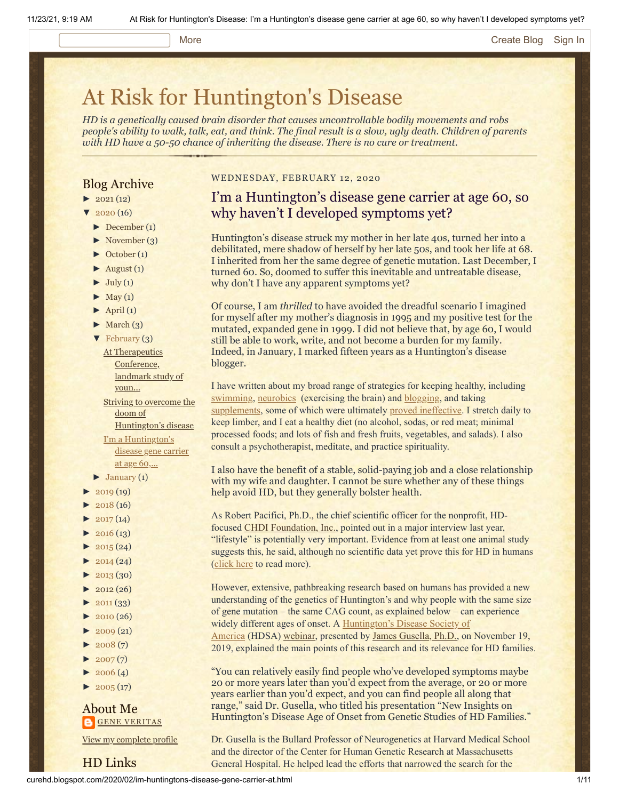#### More **[Create Blog](https://www.blogger.com/home#create) [Sign In](https://www.blogger.com/)**

# [At Risk for Huntington's Disease](http://curehd.blogspot.com/)

*HD is a genetically caused brain disorder that causes uncontrollable bodily movements and robs people's ability to walk, talk, eat, and think. The final result is a slow, ugly death. Children of parents with HD have a 50-50 chance of inheriting the disease. There is no cure or treatment.*

## Blog Archive

- $\blacktriangleright$  [2021](http://curehd.blogspot.com/2021/) (12)
- $\frac{1}{2020}$  $\frac{1}{2020}$  $\frac{1}{2020}$  (16)
- $\blacktriangleright$  [December](http://curehd.blogspot.com/2020/12/) (1)
- [►](javascript:void(0)) [November](http://curehd.blogspot.com/2020/11/) (3)
- [►](javascript:void(0)) [October](http://curehd.blogspot.com/2020/10/) (1)
- $\blacktriangleright$  [August](http://curehd.blogspot.com/2020/08/) (1)
- $\blacktriangleright$  [July](http://curehd.blogspot.com/2020/07/) (1)
- $\blacktriangleright$  [May](http://curehd.blogspot.com/2020/05/) (1)
- $\blacktriangleright$  [April](http://curehd.blogspot.com/2020/04/) (1)
- $\blacktriangleright$  [March](http://curehd.blogspot.com/2020/03/) (3)
- [▼](javascript:void(0)) [February](http://curehd.blogspot.com/2020/02/) (3)
- At [Therapeutics](http://curehd.blogspot.com/2020/02/at-therapeutics-conference-landmark.html) Conference, landmark study of youn... Striving to overcome the doom of [Huntington's](http://curehd.blogspot.com/2020/02/striving-to-overcome-doom-of.html) disease I'm a [Huntington's](http://curehd.blogspot.com/2020/02/im-huntingtons-disease-gene-carrier-at.html) disease gene carrier at age 60,...
- $\blacktriangleright$  [January](http://curehd.blogspot.com/2020/01/) (1)
- $-2019(19)$  $-2019(19)$  $-2019(19)$
- $2018(16)$  $2018(16)$
- $\blacktriangleright$  [2017](http://curehd.blogspot.com/2017/) (14)  $\blacktriangleright$  [2016](http://curehd.blogspot.com/2016/) (13)
- $\blacktriangleright$  [2015](http://curehd.blogspot.com/2015/) (24)
- 
- $\blacktriangleright$  [2014](http://curehd.blogspot.com/2014/) (24)  $\blacktriangleright$  [2013](http://curehd.blogspot.com/2013/) (30)
- $\blacktriangleright$  [2012](http://curehd.blogspot.com/2012/) (26)
- $\blacktriangleright$  [2011](http://curehd.blogspot.com/2011/) (33)
- [►](javascript:void(0)) [2010](http://curehd.blogspot.com/2010/) (26)
- 
- $\blacktriangleright$  [2009](http://curehd.blogspot.com/2009/) (21)
- $\blacktriangleright$  [2008](http://curehd.blogspot.com/2008/) $(7)$
- $\blacktriangleright$  [2007](http://curehd.blogspot.com/2007/) $(7)$
- $\blacktriangleright$  [2006](http://curehd.blogspot.com/2006/) (4)
- $\blacktriangleright$  [2005](http://curehd.blogspot.com/2005/) (17)

HD Links

### About Me **GENE [VERITAS](https://www.blogger.com/profile/10911736205741688185)**

View my [complete](https://www.blogger.com/profile/10911736205741688185) profile

#### WEDNESDAY, FEBRUARY 12, 2020

# I'm a Huntington's disease gene carrier at age 60, so why haven't I developed symptoms yet?

Huntington's disease struck my mother in her late 40s, turned her into a debilitated, mere shadow of herself by her late 50s, and took her life at 68. I inherited from her the same degree of genetic mutation. Last December, I turned 60. So, doomed to suffer this inevitable and untreatable disease, why don't I have any apparent symptoms yet?

Of course, I am *thrilled* to have avoided the dreadful scenario I imagined for myself after my mother's diagnosis in 1995 and my positive test for the mutated, expanded gene in 1999. I did not believe that, by age 60, I would still be able to work, write, and not become a burden for my family. Indeed, in January, I marked fifteen years as a Huntington's disease blogger.

I have written about my broad range of strategies for keeping healthy, including [swimming](http://curehd.blogspot.com/2010/08/my-friend-fast-lane.html), [neurobics](http://curehd.blogspot.com/2011/10/bdnf-and-neurobics-building-beautiful.html) (exercising the brain) and [blogging,](http://curehd.blogspot.com/2015/01/fighting-and-writing-to-stay-healthy.html) and taking [supplements,](http://curehd.blogspot.com/2014/02/to-take-or-not-to-take-unproven.html) some of which were ultimately [proved ineffective](http://curehd.blogspot.com/2014/10/another-major-supplement-creatine.html). I stretch daily to keep limber, and I eat a healthy diet (no alcohol, sodas, or red meat; minimal processed foods; and lots of fish and fresh fruits, vegetables, and salads). I also consult a psychotherapist, meditate, and practice spirituality.

I also have the benefit of a stable, solid-paying job and a close relationship with my wife and daughter. I cannot be sure whether any of these things help avoid HD, but they generally bolster health.

As Robert Pacifici, Ph.D., the chief scientific officer for the nonprofit, HD-focused [CHDI Foundation, Inc.](https://chdifoundation.org/), pointed out in a major interview last year, "lifestyle" is potentially very important. Evidence from at least one animal study suggests this, he said, although no scientific data yet prove this for HD in humans [\(click here](http://curehd.blogspot.com/2019/10/are-we-failing-to-stop-huntingtons.html) to read more).

However, extensive, pathbreaking research based on humans has provided a new understanding of the genetics of Huntington's and why people with the same size of gene mutation – the same CAG count, as explained below – can experience [widely different ages of onset. A Huntington's Disease Society of](https://hdsa.org/)

America (HDSA) [webinar,](https://www.youtube.com/watch?reload=9&time_continue=23&v=_R_GoFzpHN4&feature=emb_logo) presented by [James Gusella, Ph.D.,](https://cgm.massgeneral.org/faculty/james-gusella/) on November 19, 2019, explained the main points of this research and its relevance for HD families.

"You can relatively easily find people who've developed symptoms maybe 20 or more years later than you'd expect from the average, or 20 or more years earlier than you'd expect, and you can find people all along that range," said Dr. Gusella, who titled his presentation "New Insights on Huntington's Disease Age of Onset from Genetic Studies of HD Families."

Dr. Gusella is the Bullard Professor of Neurogenetics at Harvard Medical School and the director of the Center for Human Genetic Research at Massachusetts General Hospital. He helped lead the efforts that narrowed the search for the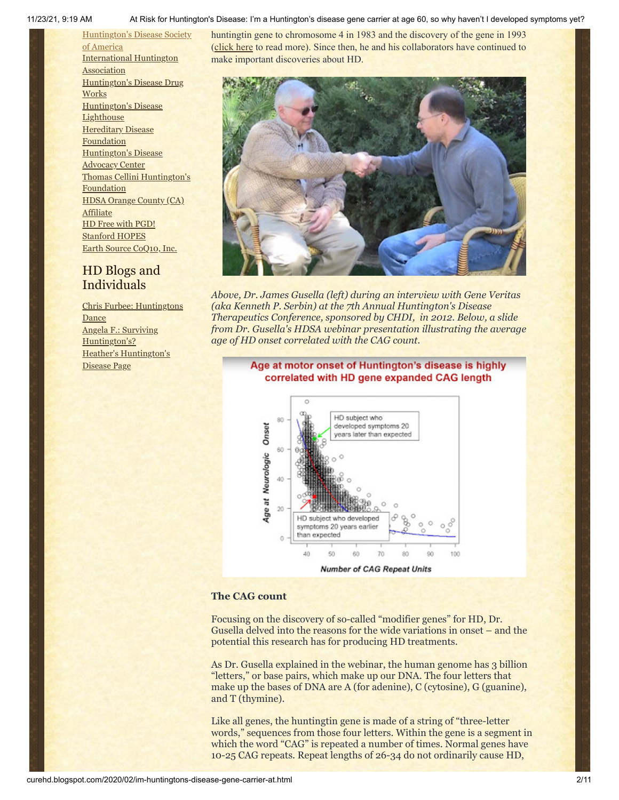[Huntington's](http://hddrugworks.org/) Disease Drug

[Huntington's](http://www.hdlighthouse.org/) Disease

[Huntington's](http://www.hdac.org/) Disease Advocacy Center

HD Free with [PGD!](http://www.hdfreewithpgd.com/) [Stanford](http://www.stanford.edu/group/hopes/) HOPES

HD Blogs and Individuals

Angela F.: Surviving [Huntington's?](http://survivinghuntingtons.blogspot.com/)

Disease Page

Heather's [Huntington's](http://heatherdugdale.angelfire.com/)

Thomas [Cellini Huntington's](http://www.ourtchfoundation.org/)

HDSA Orange County (CA)

Earth Source [CoQ10,](http://www.escoq10.com/) Inc.

Chris Furbee: [Huntingtons](http://www.huntingtonsdance.org/)

**Works** 

**Lighthouse [Hereditary](http://www.hdfoundation.org/) Disease** Foundation

**Foundation** 

**[Affiliate](http://www.hdsaoc.org/)** 

**Dance** 

[Huntington's](http://www.hdsa.org/) Disease Society of America [International](http://www.huntington-assoc.com/) Huntington **Association** huntingtin gene to chromosome 4 in 1983 and the discovery of the gene in 1993 [\(click here](https://hdsa.org/blog/march-22nd-2018/) to read more). Since then, he and his collaborators have continued to make important discoveries about HD.



*Above, Dr. James Gusella (left) during an interview with Gene Veritas (aka Kenneth P. Serbin) at the 7th Annual Huntington's Disease Therapeutics Conference, sponsored by CHDI, in 2012. Below, a slide from Dr. Gusella's HDSA webinar presentation illustrating the average age of HD onset correlated with the CAG count.*

#### Age at motor onset of Huntington's disease is highly correlated with HD gene expanded CAG length



#### **The CAG count**

Focusing on the discovery of so-called "modifier genes" for HD, Dr. Gusella delved into the reasons for the wide variations in onset – and the potential this research has for producing HD treatments.

As Dr. Gusella explained in the webinar, the human genome has 3 billion "letters," or base pairs, which make up our DNA. The four letters that make up the bases of DNA are A (for adenine), C (cytosine), G (guanine), and T (thymine).

Like all genes, the huntingtin gene is made of a string of "three-letter words," sequences from those four letters. Within the gene is a segment in which the word "CAG" is repeated a number of times. Normal genes have 10-25 CAG repeats. Repeat lengths of 26-34 do not ordinarily cause HD,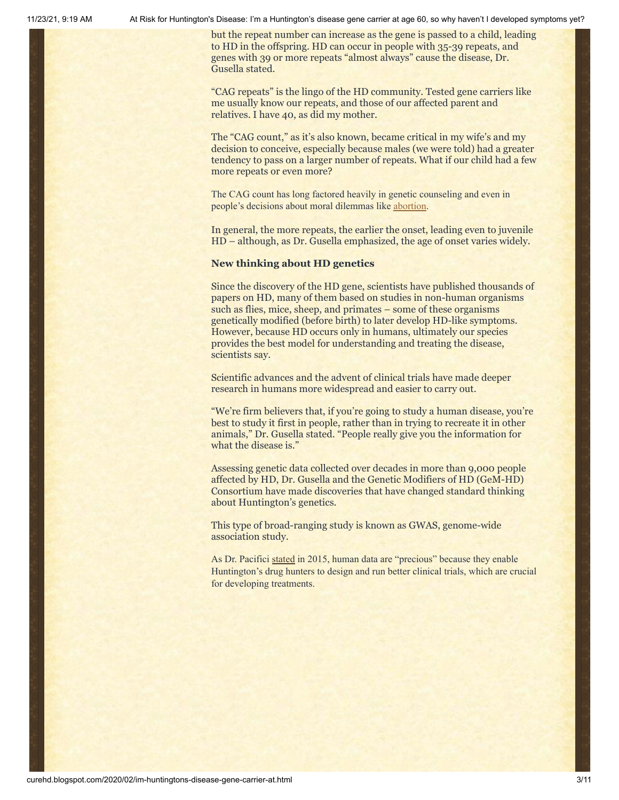but the repeat number can increase as the gene is passed to a child, leading to HD in the offspring. HD can occur in people with 35-39 repeats, and genes with 39 or more repeats "almost always" cause the disease, Dr. Gusella stated.

"CAG repeats" is the lingo of the HD community. Tested gene carriers like me usually know our repeats, and those of our affected parent and relatives. I have 40, as did my mother.

The "CAG count," as it's also known, became critical in my wife's and my decision to conceive, especially because males (we were told) had a greater tendency to pass on a larger number of repeats. What if our child had a few more repeats or even more?

The CAG count has long factored heavily in genetic counseling and even in people's decisions about moral dilemmas like [abortion.](http://curehd.blogspot.com/2011/12/angel-fighting-for-cure-huntingtons.html)

In general, the more repeats, the earlier the onset, leading even to juvenile HD – although, as Dr. Gusella emphasized, the age of onset varies widely.

#### **New thinking about HD genetics**

Since the discovery of the HD gene, scientists have published thousands of papers on HD, many of them based on studies in non-human organisms such as flies, mice, sheep, and primates – some of these organisms genetically modified (before birth) to later develop HD-like symptoms. However, because HD occurs only in humans, ultimately our species provides the best model for understanding and treating the disease, scientists say.

Scientific advances and the advent of clinical trials have made deeper research in humans more widespread and easier to carry out.

"We're firm believers that, if you're going to study a human disease, you're best to study it first in people, rather than in trying to recreate it in other animals," Dr. Gusella stated. "People really give you the information for what the disease is."

Assessing genetic data collected over decades in more than 9,000 people affected by HD, Dr. Gusella and the Genetic Modifiers of HD (GeM-HD) Consortium have made discoveries that have changed standard thinking about Huntington's genetics.

This type of broad-ranging study is known as GWAS, genome-wide association study.

As Dr. Pacifici [stated](https://vimeo.com/120920753) in 2015, human data are "precious" because they enable Huntington's drug hunters to design and run better clinical trials, which are crucial for developing treatments.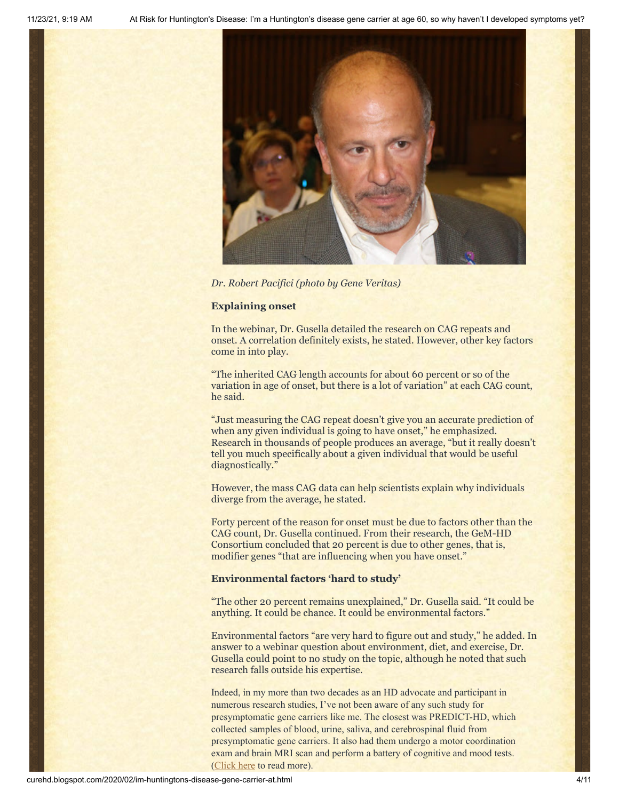

*Dr. Robert Pacifici (photo by Gene Veritas)*

#### **Explaining onset**

In the webinar, Dr. Gusella detailed the research on CAG repeats and onset. A correlation definitely exists, he stated. However, other key factors come in into play.

"The inherited CAG length accounts for about 60 percent or so of the variation in age of onset, but there is a lot of variation" at each CAG count, he said.

"Just measuring the CAG repeat doesn't give you an accurate prediction of when any given individual is going to have onset," he emphasized. Research in thousands of people produces an average, "but it really doesn't tell you much specifically about a given individual that would be useful diagnostically."

However, the mass CAG data can help scientists explain why individuals diverge from the average, he stated.

Forty percent of the reason for onset must be due to factors other than the CAG count, Dr. Gusella continued. From their research, the GeM-HD Consortium concluded that 20 percent is due to other genes, that is, modifier genes "that are influencing when you have onset."

#### **Environmental factors 'hard to study'**

"The other 20 percent remains unexplained," Dr. Gusella said. "It could be anything. It could be chance. It could be environmental factors."

Environmental factors "are very hard to figure out and study," he added. In answer to a webinar question about environment, diet, and exercise, Dr. Gusella could point to no study on the topic, although he noted that such research falls outside his expertise.

Indeed, in my more than two decades as an HD advocate and participant in numerous research studies, I've not been aware of any such study for presymptomatic gene carriers like me. The closest was PREDICT-HD, which collected samples of blood, urine, saliva, and cerebrospinal fluid from presymptomatic gene carriers. It also had them undergo a motor coordination exam and brain MRI scan and perform a battery of cognitive and mood tests. [\(Click here](http://curehd.blogspot.com/2013/08/predicting-huntingtons-disease-in.html) to read more).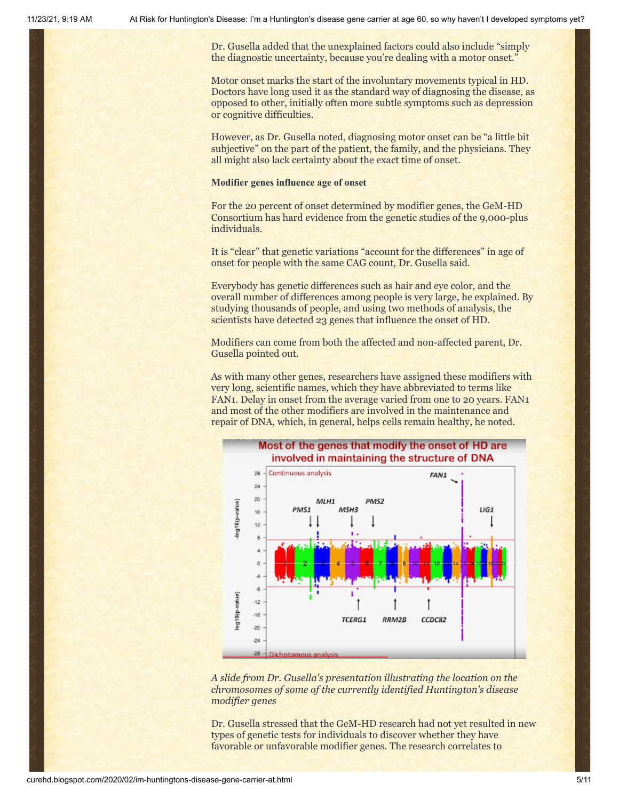Dr. Gusella added that the unexplained factors could also include "simply the diagnostic uncertainty, because you're dealing with a motor onset."

Motor onset marks the start of the involuntary movements typical in HD. Doctors have long used it as the standard way of diagnosing the disease, as opposed to other, initially often more subtle symptoms such as depression or cognitive difficulties.

However, as Dr. Gusella noted, diagnosing motor onset can be "a little bit subjective" on the part of the patient, the family, and the physicians. They all might also lack certainty about the exact time of onset.

#### **Modifier genes influence age of onset**

For the 20 percent of onset determined by modifier genes, the GeM-HD Consortium has hard evidence from the genetic studies of the 9,000-plus individuals.

It is "clear" that genetic variations "account for the differences" in age of onset for people with the same CAG count, Dr. Gusella said.

Everybody has genetic differences such as hair and eye color, and the overall number of differences among people is very large, he explained. By studying thousands of people, and using two methods of analysis, the scientists have detected 23 genes that influence the onset of HD.

Modifiers can come from both the affected and non-affected parent, Dr. Gusella pointed out.

As with many other genes, researchers have assigned these modifiers with very long, scientific names, which they have abbreviated to terms like FAN1. Delay in onset from the average varied from one to 20 years. FAN1 and most of the other modifiers are involved in the maintenance and repair of DNA, which, in general, helps cells remain healthy, he noted.



*A slide from Dr. Gusella's presentation illustrating the location on the chromosomes of some of the currently identified Huntington's disease modifier genes*

Dr. Gusella stressed that the GeM-HD research had not yet resulted in new types of genetic tests for individuals to discover whether they have favorable or unfavorable modifier genes. The research correlates to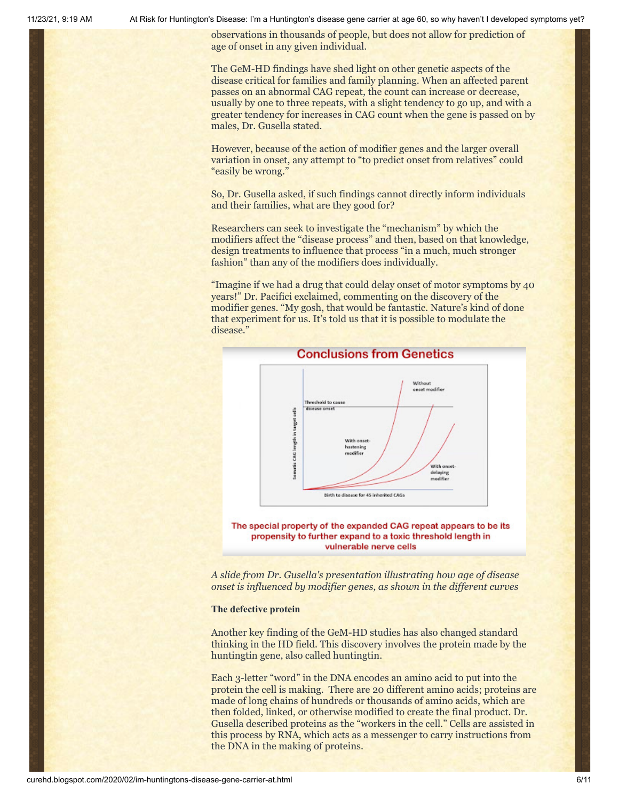observations in thousands of people, but does not allow for prediction of age of onset in any given individual.

The GeM-HD findings have shed light on other genetic aspects of the disease critical for families and family planning. When an affected parent passes on an abnormal CAG repeat, the count can increase or decrease, usually by one to three repeats, with a slight tendency to go up, and with a greater tendency for increases in CAG count when the gene is passed on by males, Dr. Gusella stated.

However, because of the action of modifier genes and the larger overall variation in onset, any attempt to "to predict onset from relatives" could "easily be wrong."

So, Dr. Gusella asked, if such findings cannot directly inform individuals and their families, what are they good for?

Researchers can seek to investigate the "mechanism" by which the modifiers affect the "disease process" and then, based on that knowledge, design treatments to influence that process "in a much, much stronger fashion" than any of the modifiers does individually.

"Imagine if we had a drug that could delay onset of motor symptoms by 40 years!" Dr. Pacifici exclaimed, commenting on the discovery of the modifier genes. "My gosh, that would be fantastic. Nature's kind of done that experiment for us. It's told us that it is possible to modulate the disease."



## **Conclusions from Genetics**

The special property of the expanded CAG repeat appears to be its propensity to further expand to a toxic threshold length in vulnerable nerve cells

*A slide from Dr. Gusella's presentation illustrating how age of disease onset is influenced by modifier genes, as shown in the different curves*

#### **The defective protein**

Another key finding of the GeM-HD studies has also changed standard thinking in the HD field. This discovery involves the protein made by the huntingtin gene, also called huntingtin.

Each 3-letter "word" in the DNA encodes an amino acid to put into the protein the cell is making. There are 20 different amino acids; proteins are made of long chains of hundreds or thousands of amino acids, which are then folded, linked, or otherwise modified to create the final product. Dr. Gusella described proteins as the "workers in the cell." Cells are assisted in this process by RNA, which acts as a messenger to carry instructions from the DNA in the making of proteins.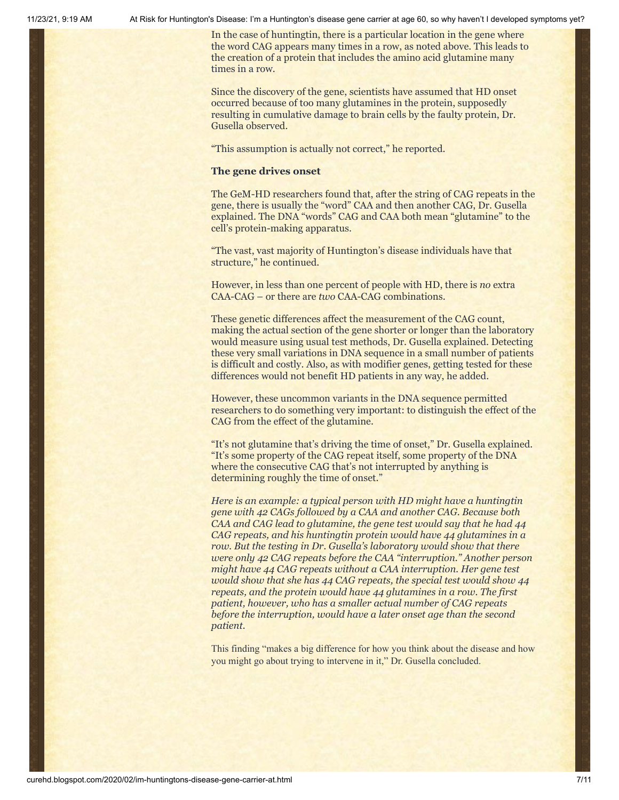In the case of huntingtin, there is a particular location in the gene where the word CAG appears many times in a row, as noted above. This leads to the creation of a protein that includes the amino acid glutamine many times in a row.

Since the discovery of the gene, scientists have assumed that HD onset occurred because of too many glutamines in the protein, supposedly resulting in cumulative damage to brain cells by the faulty protein, Dr. Gusella observed.

"This assumption is actually not correct," he reported.

#### **The gene drives onset**

The GeM-HD researchers found that, after the string of CAG repeats in the gene, there is usually the "word" CAA and then another CAG, Dr. Gusella explained. The DNA "words" CAG and CAA both mean "glutamine" to the cell's protein-making apparatus.

"The vast, vast majority of Huntington's disease individuals have that structure," he continued.

However, in less than one percent of people with HD, there is *no* extra CAA-CAG – or there are *two* CAA-CAG combinations.

These genetic differences affect the measurement of the CAG count, making the actual section of the gene shorter or longer than the laboratory would measure using usual test methods, Dr. Gusella explained. Detecting these very small variations in DNA sequence in a small number of patients is difficult and costly. Also, as with modifier genes, getting tested for these differences would not benefit HD patients in any way, he added.

However, these uncommon variants in the DNA sequence permitted researchers to do something very important: to distinguish the effect of the CAG from the effect of the glutamine.

"It's not glutamine that's driving the time of onset," Dr. Gusella explained. "It's some property of the CAG repeat itself, some property of the DNA where the consecutive CAG that's not interrupted by anything is determining roughly the time of onset."

*Here is an example: a typical person with HD might have a huntingtin gene with 42 CAGs followed by a CAA and another CAG. Because both CAA and CAG lead to glutamine, the gene test would say that he had 44 CAG repeats, and his huntingtin protein would have 44 glutamines in a row. But the testing in Dr. Gusella's laboratory would show that there were only 42 CAG repeats before the CAA "interruption." Another person might have 44 CAG repeats without a CAA interruption. Her gene test would show that she has 44 CAG repeats, the special test would show 44 repeats, and the protein would have 44 glutamines in a row. The first patient, however, who has a smaller actual number of CAG repeats before the interruption, would have a later onset age than the second patient.*

This finding "makes a big difference for how you think about the disease and how you might go about trying to intervene in it," Dr. Gusella concluded.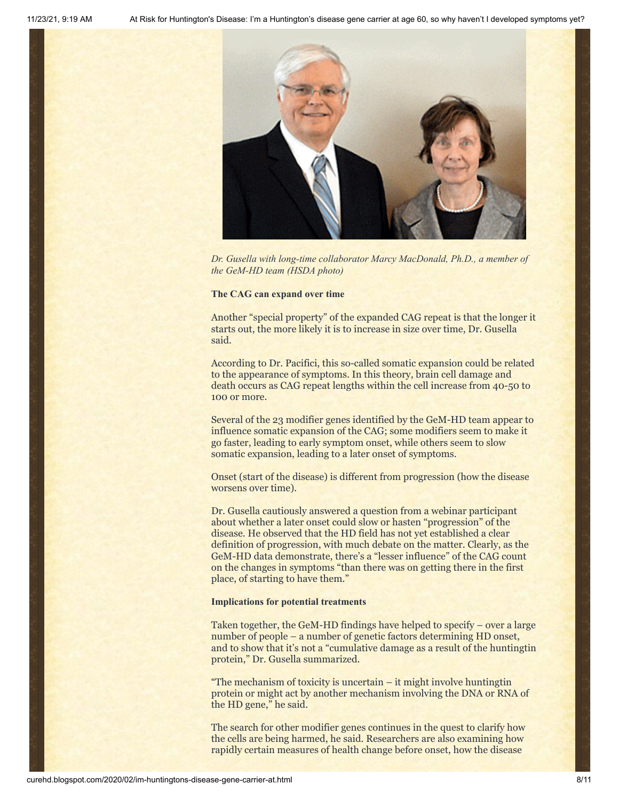

*Dr. Gusella with long-time collaborator Marcy MacDonald, Ph.D., a member of the GeM-HD team (HSDA photo)*

#### **The CAG can expand over time**

Another "special property" of the expanded CAG repeat is that the longer it starts out, the more likely it is to increase in size over time, Dr. Gusella said.

According to Dr. Pacifici, this so-called somatic expansion could be related to the appearance of symptoms. In this theory, brain cell damage and death occurs as CAG repeat lengths within the cell increase from 40-50 to 100 or more.

Several of the 23 modifier genes identified by the GeM-HD team appear to influence somatic expansion of the CAG; some modifiers seem to make it go faster, leading to early symptom onset, while others seem to slow somatic expansion, leading to a later onset of symptoms.

Onset (start of the disease) is different from progression (how the disease worsens over time).

Dr. Gusella cautiously answered a question from a webinar participant about whether a later onset could slow or hasten "progression" of the disease. He observed that the HD field has not yet established a clear definition of progression, with much debate on the matter. Clearly, as the GeM-HD data demonstrate, there's a "lesser influence" of the CAG count on the changes in symptoms "than there was on getting there in the first place, of starting to have them."

#### **Implications for potential treatments**

Taken together, the GeM-HD findings have helped to specify – over a large number of people – a number of genetic factors determining HD onset, and to show that it's not a "cumulative damage as a result of the huntingtin protein," Dr. Gusella summarized.

"The mechanism of toxicity is uncertain – it might involve huntingtin protein or might act by another mechanism involving the DNA or RNA of the HD gene," he said.

The search for other modifier genes continues in the quest to clarify how the cells are being harmed, he said. Researchers are also examining how rapidly certain measures of health change before onset, how the disease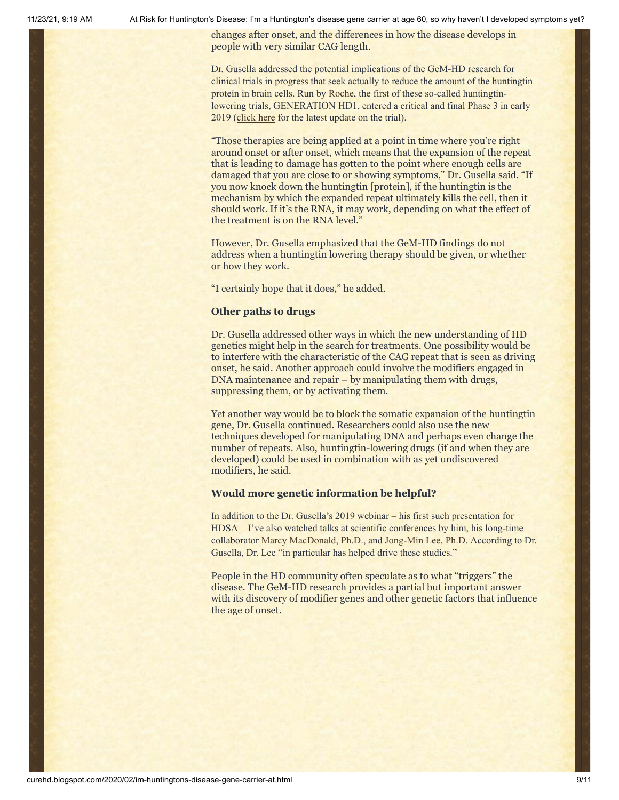changes after onset, and the differences in how the disease develops in people with very similar CAG length.

Dr. Gusella addressed the potential implications of the GeM-HD research for clinical trials in progress that seek actually to reduce the amount of the huntingtin protein in brain cells. Run by [Roche](https://www.roche.com/), the first of these so-called huntingtinlowering trials, GENERATION HD1, entered a critical and final Phase 3 in early 2019 [\(click here](https://vimeo.com/372696995) for the latest update on the trial).

"Those therapies are being applied at a point in time where you're right around onset or after onset, which means that the expansion of the repeat that is leading to damage has gotten to the point where enough cells are damaged that you are close to or showing symptoms," Dr. Gusella said. "If you now knock down the huntingtin [protein], if the huntingtin is the mechanism by which the expanded repeat ultimately kills the cell, then it should work. If it's the RNA, it may work, depending on what the effect of the treatment is on the RNA level."

However, Dr. Gusella emphasized that the GeM-HD findings do not address when a huntingtin lowering therapy should be given, or whether or how they work.

"I certainly hope that it does," he added.

#### **Other paths to drugs**

Dr. Gusella addressed other ways in which the new understanding of HD genetics might help in the search for treatments. One possibility would be to interfere with the characteristic of the CAG repeat that is seen as driving onset, he said. Another approach could involve the modifiers engaged in DNA maintenance and repair – by manipulating them with drugs, suppressing them, or by activating them.

Yet another way would be to block the somatic expansion of the huntingtin gene, Dr. Gusella continued. Researchers could also use the new techniques developed for manipulating DNA and perhaps even change the number of repeats. Also, huntingtin-lowering drugs (if and when they are developed) could be used in combination with as yet undiscovered modifiers, he said.

### **Would more genetic information be helpful?**

In addition to the Dr. Gusella's 2019 webinar – his first such presentation for HDSA – I've also watched talks at scientific conferences by him, his long-time collaborator [Marcy MacDonald, Ph.D.,](https://hdsa.org/living-with-hd/faces-of-hd/meet-marcy-jim/) and [Jong-Min Lee, Ph.D](http://brain.harvard.edu/?people=jong-min-lee). According to Dr. Gusella, Dr. Lee "in particular has helped drive these studies."

People in the HD community often speculate as to what "triggers" the disease. The GeM-HD research provides a partial but important answer with its discovery of modifier genes and other genetic factors that influence the age of onset.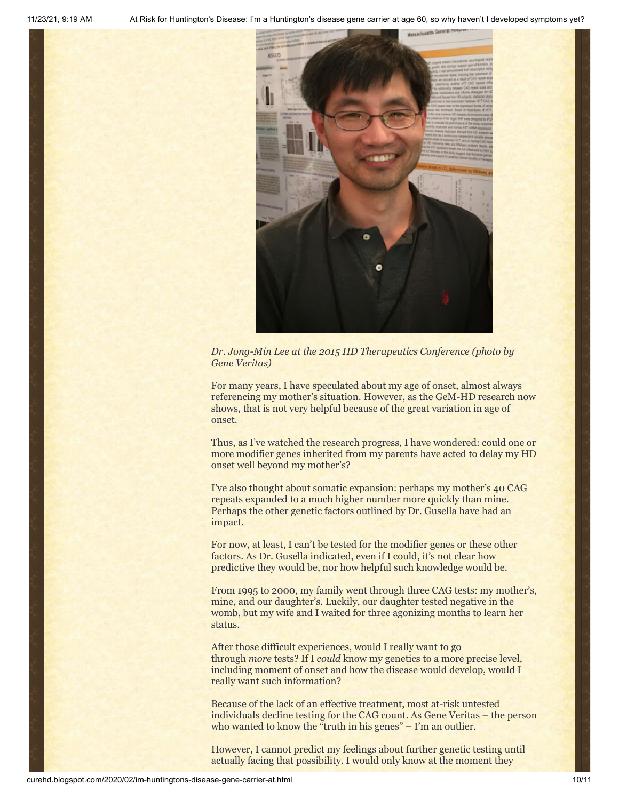

*Dr. Jong-Min Lee at the 2015 HD Therapeutics Conference (photo by Gene Veritas)*

For many years, I have speculated about my age of onset, almost always referencing my mother's situation. However, as the GeM-HD research now shows, that is not very helpful because of the great variation in age of onset.

Thus, as I've watched the research progress, I have wondered: could one or more modifier genes inherited from my parents have acted to delay my HD onset well beyond my mother's?

I've also thought about somatic expansion: perhaps my mother's 40 CAG repeats expanded to a much higher number more quickly than mine. Perhaps the other genetic factors outlined by Dr. Gusella have had an impact.

For now, at least, I can't be tested for the modifier genes or these other factors. As Dr. Gusella indicated, even if I could, it's not clear how predictive they would be, nor how helpful such knowledge would be.

From 1995 to 2000, my family went through three CAG tests: my mother's, mine, and our daughter's. Luckily, our daughter tested negative in the womb, but my wife and I waited for three agonizing months to learn her status.

After those difficult experiences, would I really want to go through *more* tests? If I *could* know my genetics to a more precise level, including moment of onset and how the disease would develop, would I really want such information?

Because of the lack of an effective treatment, most at-risk untested individuals decline testing for the CAG count. As Gene Veritas – the person who wanted to know the "truth in his genes" – I'm an outlier.

However, I cannot predict my feelings about further genetic testing until actually facing that possibility. I would only know at the moment they